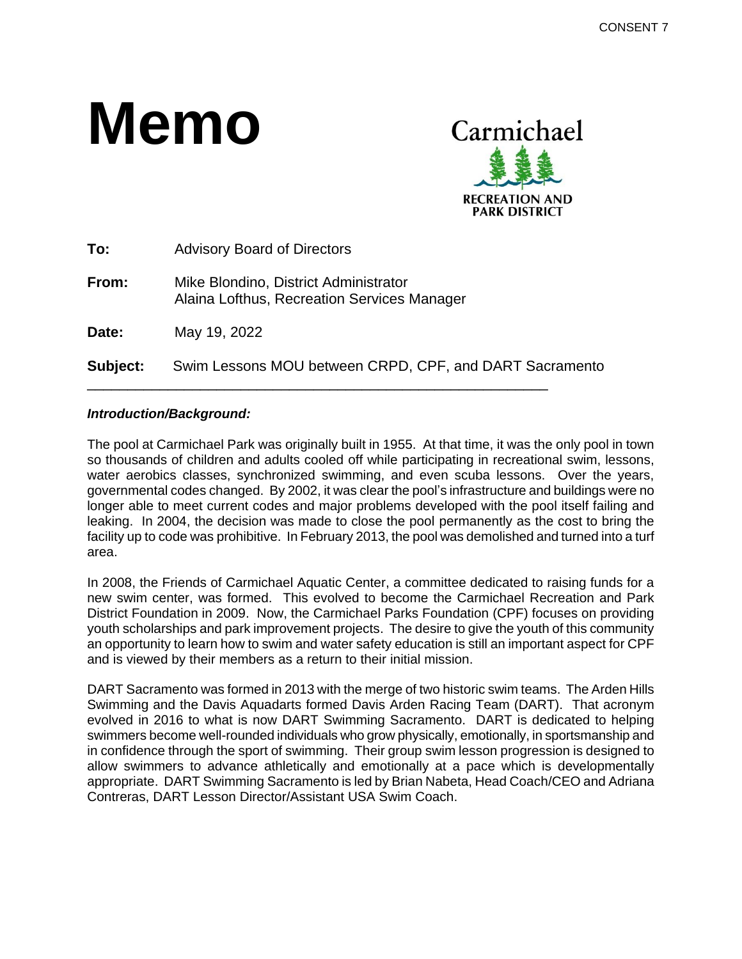# **Memo**



| Subject: | Swim Lessons MOU between CRPD, CPF, and DART Sacramento                              |
|----------|--------------------------------------------------------------------------------------|
| Date:    | May 19, 2022                                                                         |
| From:    | Mike Blondino, District Administrator<br>Alaina Lofthus, Recreation Services Manager |
| To:      | <b>Advisory Board of Directors</b>                                                   |

#### *Introduction/Background:*

The pool at Carmichael Park was originally built in 1955. At that time, it was the only pool in town so thousands of children and adults cooled off while participating in recreational swim, lessons, water aerobics classes, synchronized swimming, and even scuba lessons. Over the years, governmental codes changed. By 2002, it was clear the pool's infrastructure and buildings were no longer able to meet current codes and major problems developed with the pool itself failing and leaking. In 2004, the decision was made to close the pool permanently as the cost to bring the facility up to code was prohibitive. In February 2013, the pool was demolished and turned into a turf area.

In 2008, the Friends of Carmichael Aquatic Center, a committee dedicated to raising funds for a new swim center, was formed. This evolved to become the Carmichael Recreation and Park District Foundation in 2009. Now, the Carmichael Parks Foundation (CPF) focuses on providing youth scholarships and park improvement projects. The desire to give the youth of this community an opportunity to learn how to swim and water safety education is still an important aspect for CPF and is viewed by their members as a return to their initial mission.

DART Sacramento was formed in 2013 with the merge of two historic swim teams. The Arden Hills Swimming and the Davis Aquadarts formed Davis Arden Racing Team (DART). That acronym evolved in 2016 to what is now DART Swimming Sacramento. DART is dedicated to helping swimmers become well-rounded individuals who grow physically, emotionally, in sportsmanship and in confidence through the sport of swimming. Their group swim lesson progression is designed to allow swimmers to advance athletically and emotionally at a pace which is developmentally appropriate. DART Swimming Sacramento is led by Brian Nabeta, Head Coach/CEO and Adriana Contreras, DART Lesson Director/Assistant USA Swim Coach.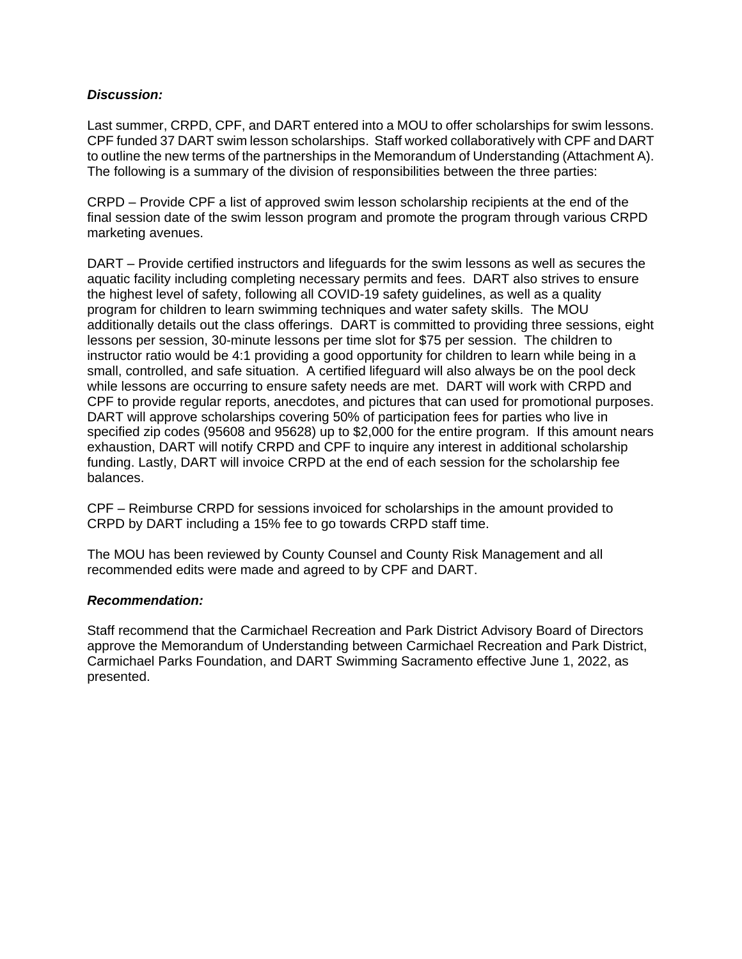#### *Discussion:*

Last summer, CRPD, CPF, and DART entered into a MOU to offer scholarships for swim lessons. CPF funded 37 DART swim lesson scholarships. Staff worked collaboratively with CPF and DART to outline the new terms of the partnerships in the Memorandum of Understanding (Attachment A). The following is a summary of the division of responsibilities between the three parties:

CRPD – Provide CPF a list of approved swim lesson scholarship recipients at the end of the final session date of the swim lesson program and promote the program through various CRPD marketing avenues.

DART – Provide certified instructors and lifeguards for the swim lessons as well as secures the aquatic facility including completing necessary permits and fees. DART also strives to ensure the highest level of safety, following all COVID-19 safety guidelines, as well as a quality program for children to learn swimming techniques and water safety skills. The MOU additionally details out the class offerings. DART is committed to providing three sessions, eight lessons per session, 30-minute lessons per time slot for \$75 per session. The children to instructor ratio would be 4:1 providing a good opportunity for children to learn while being in a small, controlled, and safe situation. A certified lifeguard will also always be on the pool deck while lessons are occurring to ensure safety needs are met. DART will work with CRPD and CPF to provide regular reports, anecdotes, and pictures that can used for promotional purposes. DART will approve scholarships covering 50% of participation fees for parties who live in specified zip codes (95608 and 95628) up to \$2,000 for the entire program. If this amount nears exhaustion, DART will notify CRPD and CPF to inquire any interest in additional scholarship funding. Lastly, DART will invoice CRPD at the end of each session for the scholarship fee balances.

CPF – Reimburse CRPD for sessions invoiced for scholarships in the amount provided to CRPD by DART including a 15% fee to go towards CRPD staff time.

The MOU has been reviewed by County Counsel and County Risk Management and all recommended edits were made and agreed to by CPF and DART.

#### *Recommendation:*

Staff recommend that the Carmichael Recreation and Park District Advisory Board of Directors approve the Memorandum of Understanding between Carmichael Recreation and Park District, Carmichael Parks Foundation, and DART Swimming Sacramento effective June 1, 2022, as presented.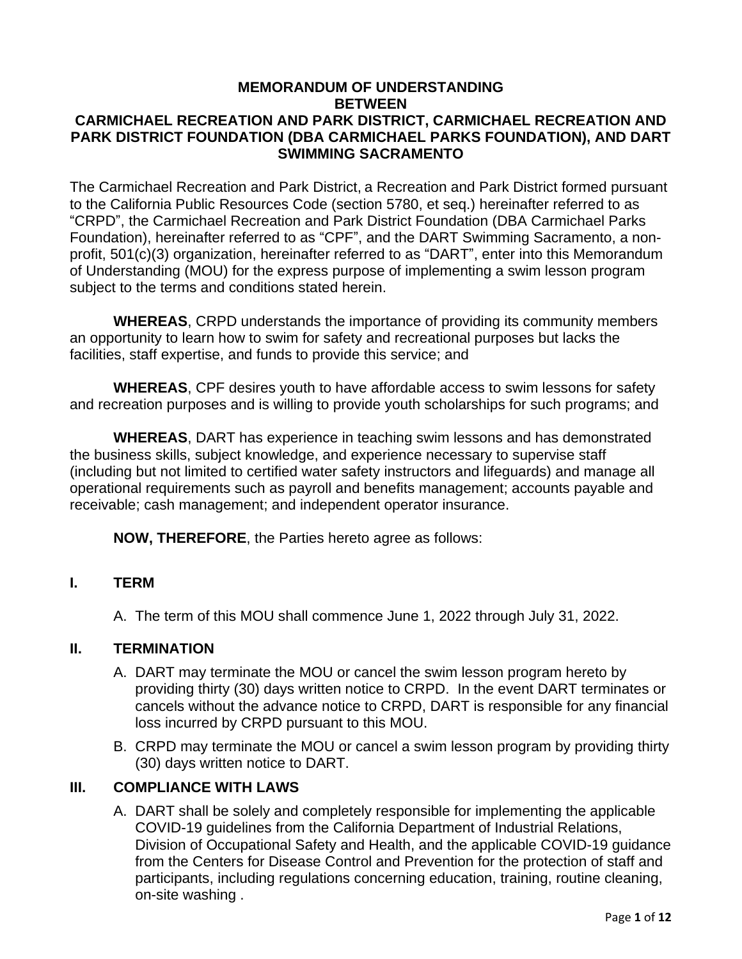### **MEMORANDUM OF UNDERSTANDING BETWEEN CARMICHAEL RECREATION AND PARK DISTRICT, CARMICHAEL RECREATION AND PARK DISTRICT FOUNDATION (DBA CARMICHAEL PARKS FOUNDATION), AND DART SWIMMING SACRAMENTO**

The Carmichael Recreation and Park District, a Recreation and Park District formed pursuant to the California Public Resources Code (section 5780, et seq.) hereinafter referred to as "CRPD", the Carmichael Recreation and Park District Foundation (DBA Carmichael Parks Foundation), hereinafter referred to as "CPF", and the DART Swimming Sacramento, a nonprofit, 501(c)(3) organization, hereinafter referred to as "DART", enter into this Memorandum of Understanding (MOU) for the express purpose of implementing a swim lesson program subject to the terms and conditions stated herein.

**WHEREAS**, CRPD understands the importance of providing its community members an opportunity to learn how to swim for safety and recreational purposes but lacks the facilities, staff expertise, and funds to provide this service; and

**WHEREAS**, CPF desires youth to have affordable access to swim lessons for safety and recreation purposes and is willing to provide youth scholarships for such programs; and

**WHEREAS**, DART has experience in teaching swim lessons and has demonstrated the business skills, subject knowledge, and experience necessary to supervise staff (including but not limited to certified water safety instructors and lifeguards) and manage all operational requirements such as payroll and benefits management; accounts payable and receivable; cash management; and independent operator insurance.

**NOW, THEREFORE**, the Parties hereto agree as follows:

### **I. TERM**

A. The term of this MOU shall commence June 1, 2022 through July 31, 2022.

### **II. TERMINATION**

- A. DART may terminate the MOU or cancel the swim lesson program hereto by providing thirty (30) days written notice to CRPD. In the event DART terminates or cancels without the advance notice to CRPD, DART is responsible for any financial loss incurred by CRPD pursuant to this MOU.
- B. CRPD may terminate the MOU or cancel a swim lesson program by providing thirty (30) days written notice to DART.

### **III. COMPLIANCE WITH LAWS**

A. DART shall be solely and completely responsible for implementing the applicable COVID-19 guidelines from the California Department of Industrial Relations, Division of Occupational Safety and Health, and the applicable COVID-19 guidance from the Centers for Disease Control and Prevention for the protection of staff and participants, including regulations concerning education, training, routine cleaning, on-site washing .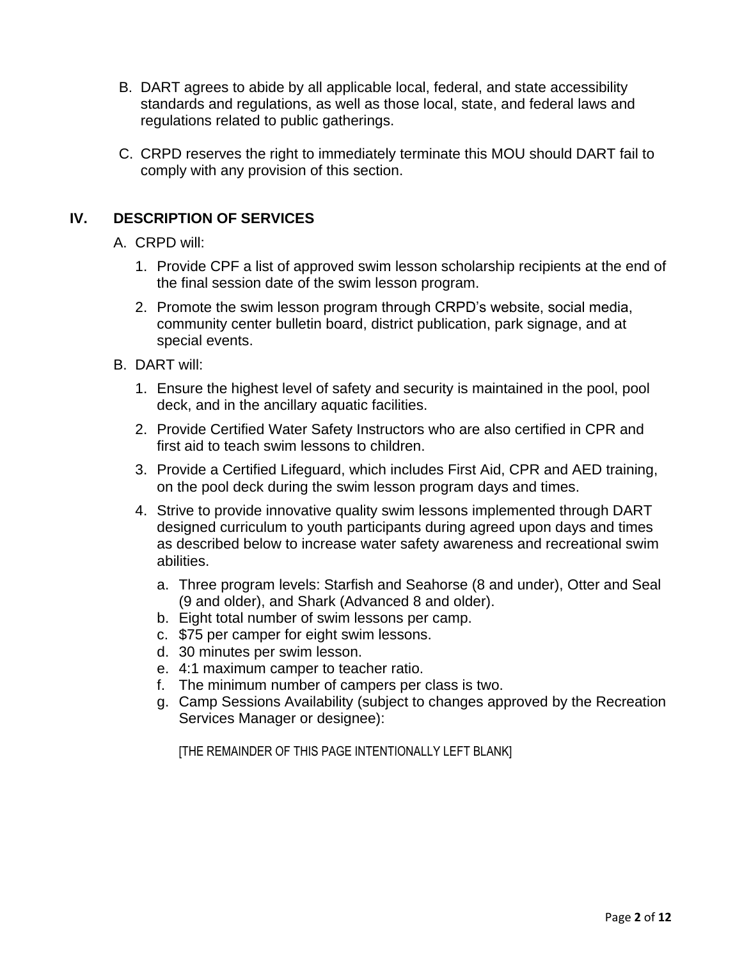- B. DART agrees to abide by all applicable local, federal, and state accessibility standards and regulations, as well as those local, state, and federal laws and regulations related to public gatherings.
- C. CRPD reserves the right to immediately terminate this MOU should DART fail to comply with any provision of this section.

# **IV. DESCRIPTION OF SERVICES**

- A. CRPD will:
	- 1. Provide CPF a list of approved swim lesson scholarship recipients at the end of the final session date of the swim lesson program.
	- 2. Promote the swim lesson program through CRPD's website, social media, community center bulletin board, district publication, park signage, and at special events.
- B. DART will:
	- 1. Ensure the highest level of safety and security is maintained in the pool, pool deck, and in the ancillary aquatic facilities.
	- 2. Provide Certified Water Safety Instructors who are also certified in CPR and first aid to teach swim lessons to children.
	- 3. Provide a Certified Lifeguard, which includes First Aid, CPR and AED training, on the pool deck during the swim lesson program days and times.
	- 4. Strive to provide innovative quality swim lessons implemented through DART designed curriculum to youth participants during agreed upon days and times as described below to increase water safety awareness and recreational swim abilities.
		- a. Three program levels: Starfish and Seahorse (8 and under), Otter and Seal (9 and older), and Shark (Advanced 8 and older).
		- b. Eight total number of swim lessons per camp.
		- c. \$75 per camper for eight swim lessons.
		- d. 30 minutes per swim lesson.
		- e. 4:1 maximum camper to teacher ratio.
		- f. The minimum number of campers per class is two.
		- g. Camp Sessions Availability (subject to changes approved by the Recreation Services Manager or designee):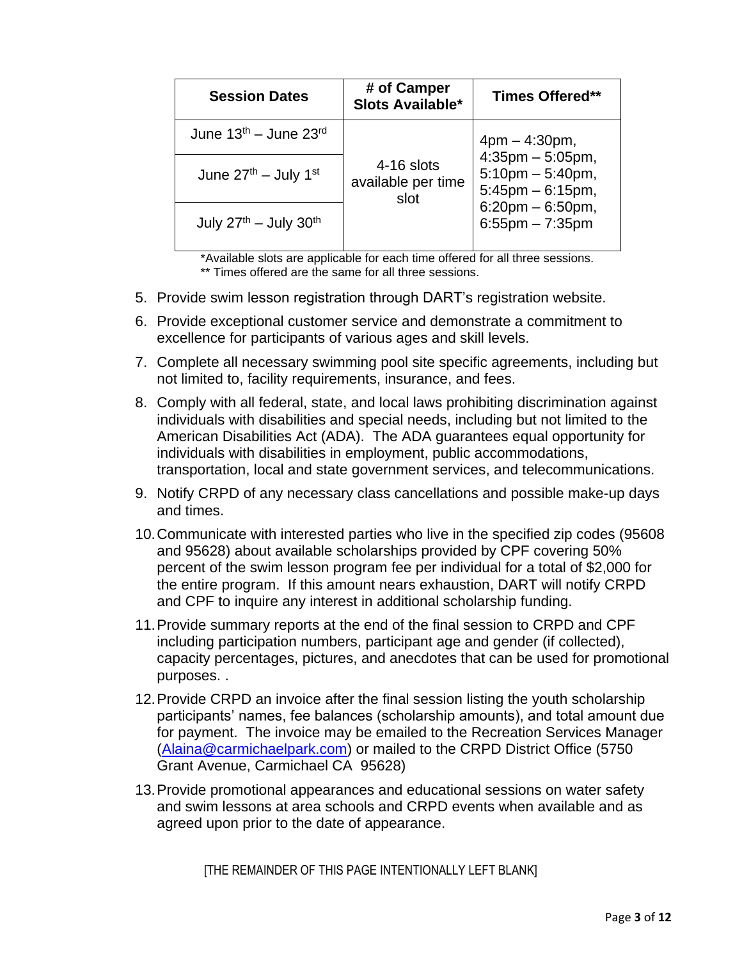| <b>Session Dates</b>               | # of Camper<br>Slots Available*          | <b>Times Offered**</b>                                                                                                   |
|------------------------------------|------------------------------------------|--------------------------------------------------------------------------------------------------------------------------|
| June $13th$ – June $23rd$          |                                          | $4pm - 4:30pm,$                                                                                                          |
| June $27th$ – July 1 <sup>st</sup> | 4-16 slots<br>available per time<br>slot | $4:35$ pm $-5:05$ pm,<br>$5:10$ pm $-5:40$ pm,<br>$5:45$ pm $-6:15$ pm,<br>$6:20$ pm $-6:50$ pm,<br>$6:55$ pm $-7:35$ pm |
| July $27th$ – July $30th$          |                                          |                                                                                                                          |

\*Available slots are applicable for each time offered for all three sessions. \*\* Times offered are the same for all three sessions.

- 5. Provide swim lesson registration through DART's registration website.
- 6. Provide exceptional customer service and demonstrate a commitment to excellence for participants of various ages and skill levels.
- 7. Complete all necessary swimming pool site specific agreements, including but not limited to, facility requirements, insurance, and fees.
- 8. Comply with all federal, state, and local laws prohibiting discrimination against individuals with disabilities and special needs, including but not limited to the American Disabilities Act (ADA). The ADA guarantees equal opportunity for individuals with disabilities in employment, public accommodations, transportation, local and state government services, and telecommunications.
- 9. Notify CRPD of any necessary class cancellations and possible make-up days and times.
- 10.Communicate with interested parties who live in the specified zip codes (95608 and 95628) about available scholarships provided by CPF covering 50% percent of the swim lesson program fee per individual for a total of \$2,000 for the entire program. If this amount nears exhaustion, DART will notify CRPD and CPF to inquire any interest in additional scholarship funding.
- 11.Provide summary reports at the end of the final session to CRPD and CPF including participation numbers, participant age and gender (if collected), capacity percentages, pictures, and anecdotes that can be used for promotional purposes. .
- 12.Provide CRPD an invoice after the final session listing the youth scholarship participants' names, fee balances (scholarship amounts), and total amount due for payment. The invoice may be emailed to the Recreation Services Manager [\(Alaina@carmichaelpark.com\)](mailto:Alaina@carmichaelpark.com) or mailed to the CRPD District Office (5750 Grant Avenue, Carmichael CA 95628)
- 13.Provide promotional appearances and educational sessions on water safety and swim lessons at area schools and CRPD events when available and as agreed upon prior to the date of appearance.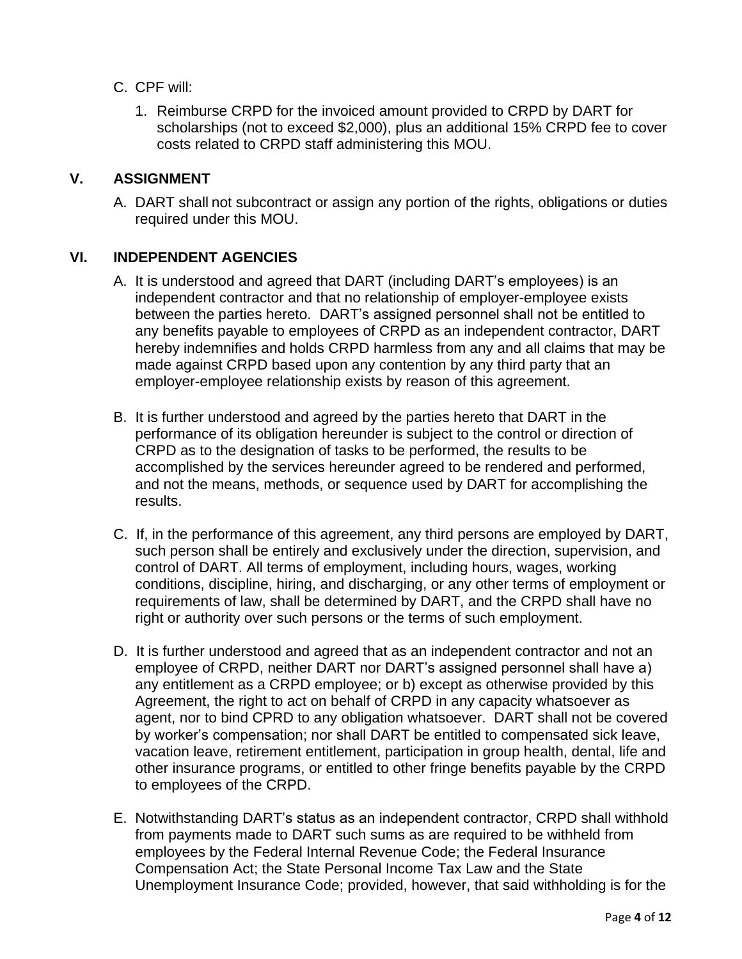- C. CPF will:
	- 1. Reimburse CRPD for the invoiced amount provided to CRPD by DART for scholarships (not to exceed \$2,000), plus an additional 15% CRPD fee to cover costs related to CRPD staff administering this MOU.

## **V. ASSIGNMENT**

A. DART shall not subcontract or assign any portion of the rights, obligations or duties required under this MOU.

### **VI. INDEPENDENT AGENCIES**

- A. It is understood and agreed that DART (including DART's employees) is an independent contractor and that no relationship of employer-employee exists between the parties hereto. DART's assigned personnel shall not be entitled to any benefits payable to employees of CRPD as an independent contractor, DART hereby indemnifies and holds CRPD harmless from any and all claims that may be made against CRPD based upon any contention by any third party that an employer-employee relationship exists by reason of this agreement.
- B. It is further understood and agreed by the parties hereto that DART in the performance of its obligation hereunder is subject to the control or direction of CRPD as to the designation of tasks to be performed, the results to be accomplished by the services hereunder agreed to be rendered and performed, and not the means, methods, or sequence used by DART for accomplishing the results.
- C. If, in the performance of this agreement, any third persons are employed by DART, such person shall be entirely and exclusively under the direction, supervision, and control of DART. All terms of employment, including hours, wages, working conditions, discipline, hiring, and discharging, or any other terms of employment or requirements of law, shall be determined by DART, and the CRPD shall have no right or authority over such persons or the terms of such employment.
- D. It is further understood and agreed that as an independent contractor and not an employee of CRPD, neither DART nor DART's assigned personnel shall have a) any entitlement as a CRPD employee; or b) except as otherwise provided by this Agreement, the right to act on behalf of CRPD in any capacity whatsoever as agent, nor to bind CPRD to any obligation whatsoever. DART shall not be covered by worker's compensation; nor shall DART be entitled to compensated sick leave, vacation leave, retirement entitlement, participation in group health, dental, life and other insurance programs, or entitled to other fringe benefits payable by the CRPD to employees of the CRPD.
- E. Notwithstanding DART's status as an independent contractor, CRPD shall withhold from payments made to DART such sums as are required to be withheld from employees by the Federal Internal Revenue Code; the Federal Insurance Compensation Act; the State Personal Income Tax Law and the State Unemployment Insurance Code; provided, however, that said withholding is for the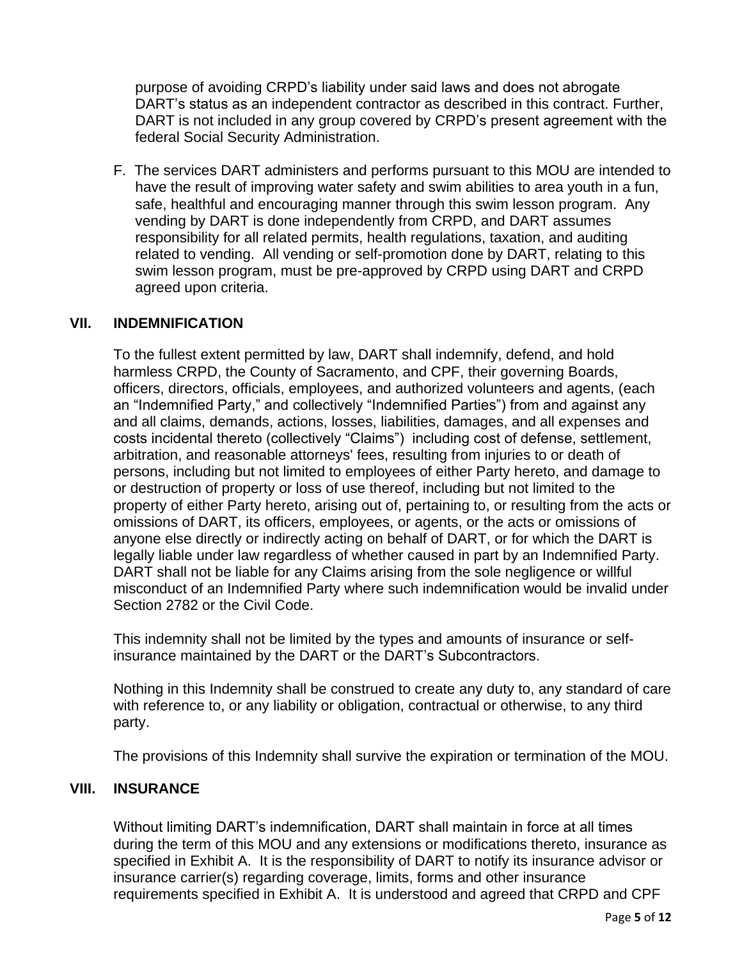purpose of avoiding CRPD's liability under said laws and does not abrogate DART's status as an independent contractor as described in this contract. Further, DART is not included in any group covered by CRPD's present agreement with the federal Social Security Administration.

F. The services DART administers and performs pursuant to this MOU are intended to have the result of improving water safety and swim abilities to area youth in a fun, safe, healthful and encouraging manner through this swim lesson program. Any vending by DART is done independently from CRPD, and DART assumes responsibility for all related permits, health regulations, taxation, and auditing related to vending. All vending or self-promotion done by DART, relating to this swim lesson program, must be pre-approved by CRPD using DART and CRPD agreed upon criteria.

#### **VII. INDEMNIFICATION**

To the fullest extent permitted by law, DART shall indemnify, defend, and hold harmless CRPD, the County of Sacramento, and CPF, their governing Boards, officers, directors, officials, employees, and authorized volunteers and agents, (each an "Indemnified Party," and collectively "Indemnified Parties") from and against any and all claims, demands, actions, losses, liabilities, damages, and all expenses and costs incidental thereto (collectively "Claims") including cost of defense, settlement, arbitration, and reasonable attorneys' fees, resulting from injuries to or death of persons, including but not limited to employees of either Party hereto, and damage to or destruction of property or loss of use thereof, including but not limited to the property of either Party hereto, arising out of, pertaining to, or resulting from the acts or omissions of DART, its officers, employees, or agents, or the acts or omissions of anyone else directly or indirectly acting on behalf of DART, or for which the DART is legally liable under law regardless of whether caused in part by an Indemnified Party. DART shall not be liable for any Claims arising from the sole negligence or willful misconduct of an Indemnified Party where such indemnification would be invalid under Section 2782 or the Civil Code.

This indemnity shall not be limited by the types and amounts of insurance or selfinsurance maintained by the DART or the DART's Subcontractors.

Nothing in this Indemnity shall be construed to create any duty to, any standard of care with reference to, or any liability or obligation, contractual or otherwise, to any third party.

The provisions of this Indemnity shall survive the expiration or termination of the MOU.

### **VIII. INSURANCE**

Without limiting DART's indemnification, DART shall maintain in force at all times during the term of this MOU and any extensions or modifications thereto, insurance as specified in Exhibit A. It is the responsibility of DART to notify its insurance advisor or insurance carrier(s) regarding coverage, limits, forms and other insurance requirements specified in Exhibit A. It is understood and agreed that CRPD and CPF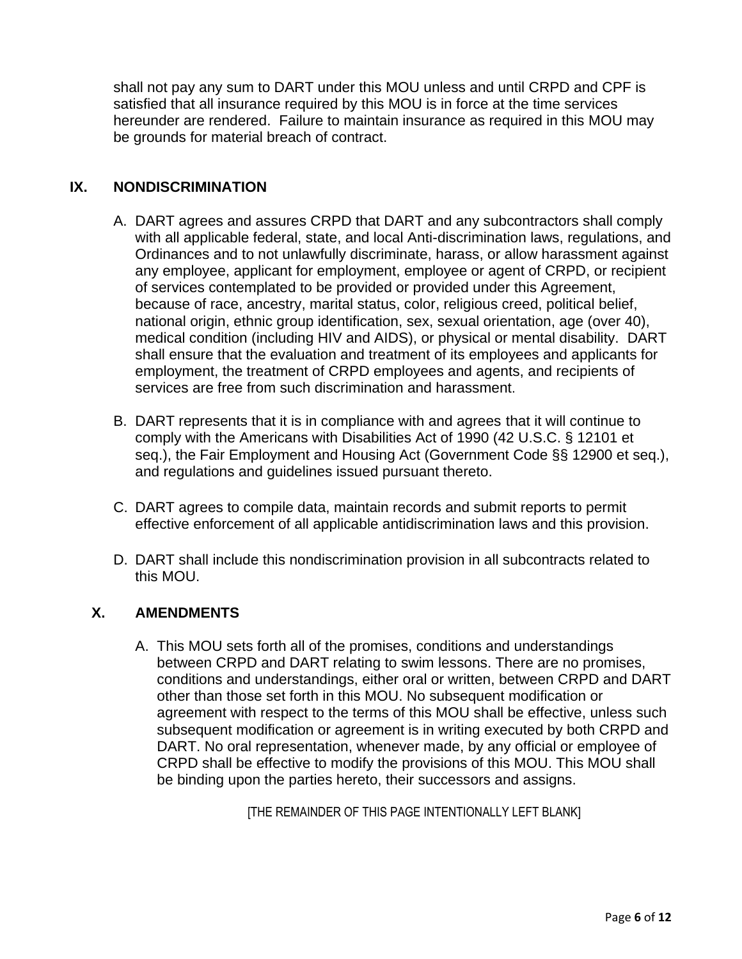shall not pay any sum to DART under this MOU unless and until CRPD and CPF is satisfied that all insurance required by this MOU is in force at the time services hereunder are rendered. Failure to maintain insurance as required in this MOU may be grounds for material breach of contract.

## **IX. NONDISCRIMINATION**

- A. DART agrees and assures CRPD that DART and any subcontractors shall comply with all applicable federal, state, and local Anti-discrimination laws, regulations, and Ordinances and to not unlawfully discriminate, harass, or allow harassment against any employee, applicant for employment, employee or agent of CRPD, or recipient of services contemplated to be provided or provided under this Agreement, because of race, ancestry, marital status, color, religious creed, political belief, national origin, ethnic group identification, sex, sexual orientation, age (over 40), medical condition (including HIV and AIDS), or physical or mental disability. DART shall ensure that the evaluation and treatment of its employees and applicants for employment, the treatment of CRPD employees and agents, and recipients of services are free from such discrimination and harassment.
- B. DART represents that it is in compliance with and agrees that it will continue to comply with the Americans with Disabilities Act of 1990 (42 U.S.C. § 12101 et seq.), the Fair Employment and Housing Act (Government Code §§ 12900 et seq.), and regulations and guidelines issued pursuant thereto.
- C. DART agrees to compile data, maintain records and submit reports to permit effective enforcement of all applicable antidiscrimination laws and this provision.
- D. DART shall include this nondiscrimination provision in all subcontracts related to this MOU.

# **X. AMENDMENTS**

A. This MOU sets forth all of the promises, conditions and understandings between CRPD and DART relating to swim lessons. There are no promises, conditions and understandings, either oral or written, between CRPD and DART other than those set forth in this MOU. No subsequent modification or agreement with respect to the terms of this MOU shall be effective, unless such subsequent modification or agreement is in writing executed by both CRPD and DART. No oral representation, whenever made, by any official or employee of CRPD shall be effective to modify the provisions of this MOU. This MOU shall be binding upon the parties hereto, their successors and assigns.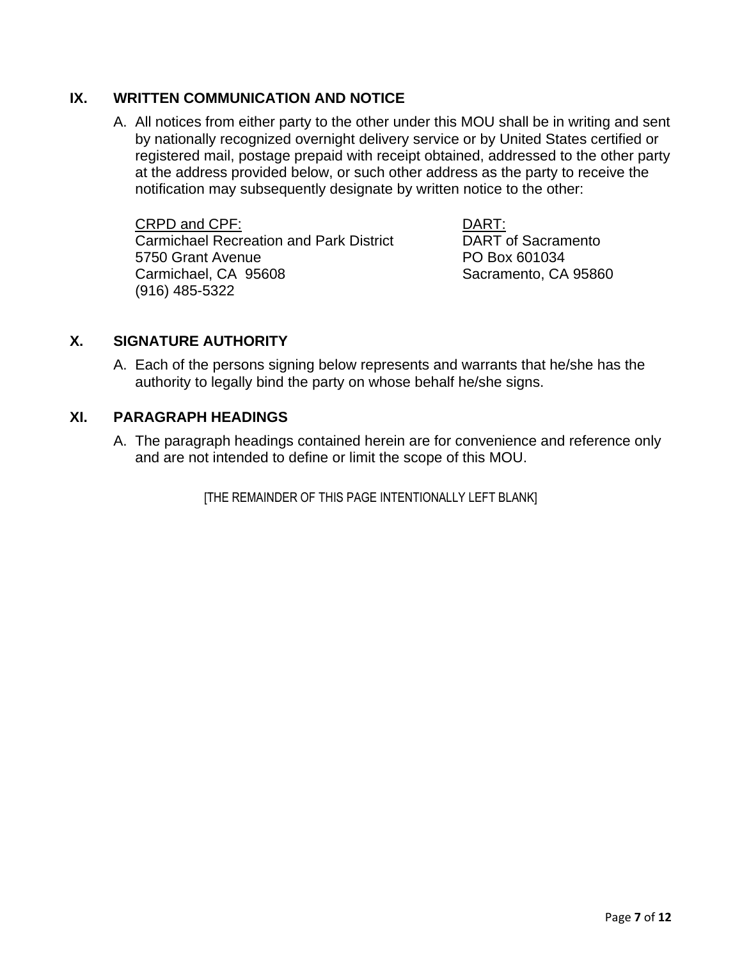## **IX. WRITTEN COMMUNICATION AND NOTICE**

A. All notices from either party to the other under this MOU shall be in writing and sent by nationally recognized overnight delivery service or by United States certified or registered mail, postage prepaid with receipt obtained, addressed to the other party at the address provided below, or such other address as the party to receive the notification may subsequently designate by written notice to the other:

CRPD and CPF: DART: Carmichael Recreation and Park District **DART** of Sacramento 5750 Grant Avenue PO Box 601034 Carmichael, CA 95608 Sacramento, CA 95860 (916) 485-5322

### **X. SIGNATURE AUTHORITY**

A. Each of the persons signing below represents and warrants that he/she has the authority to legally bind the party on whose behalf he/she signs.

### **XI. PARAGRAPH HEADINGS**

A. The paragraph headings contained herein are for convenience and reference only and are not intended to define or limit the scope of this MOU.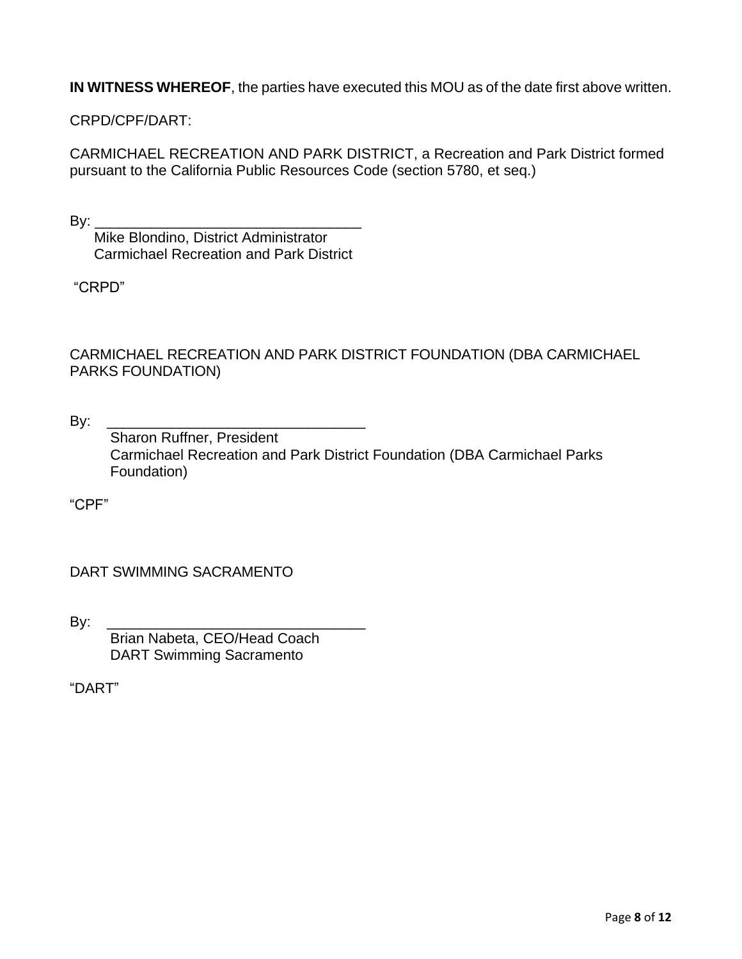**IN WITNESS WHEREOF**, the parties have executed this MOU as of the date first above written.

CRPD/CPF/DART:

CARMICHAEL RECREATION AND PARK DISTRICT, a Recreation and Park District formed pursuant to the California Public Resources Code (section 5780, et seq.)

By: \_\_\_\_\_\_\_\_\_\_\_\_\_\_\_\_\_\_\_\_\_\_\_\_\_\_\_\_\_\_\_\_\_

 Mike Blondino, District Administrator Carmichael Recreation and Park District

"CRPD"

CARMICHAEL RECREATION AND PARK DISTRICT FOUNDATION (DBA CARMICHAEL PARKS FOUNDATION)

By: \_\_\_\_\_\_\_\_\_\_\_\_\_\_\_\_\_\_\_\_\_\_\_\_\_\_\_\_\_\_\_\_ Sharon Ruffner, President Carmichael Recreation and Park District Foundation (DBA Carmichael Parks Foundation)

"CPF"

DART SWIMMING SACRAMENTO

By: \_\_\_\_\_\_\_\_\_\_\_\_\_\_\_\_\_\_\_\_\_\_\_\_\_\_\_\_\_\_\_\_

 Brian Nabeta, CEO/Head Coach DART Swimming Sacramento

"DART"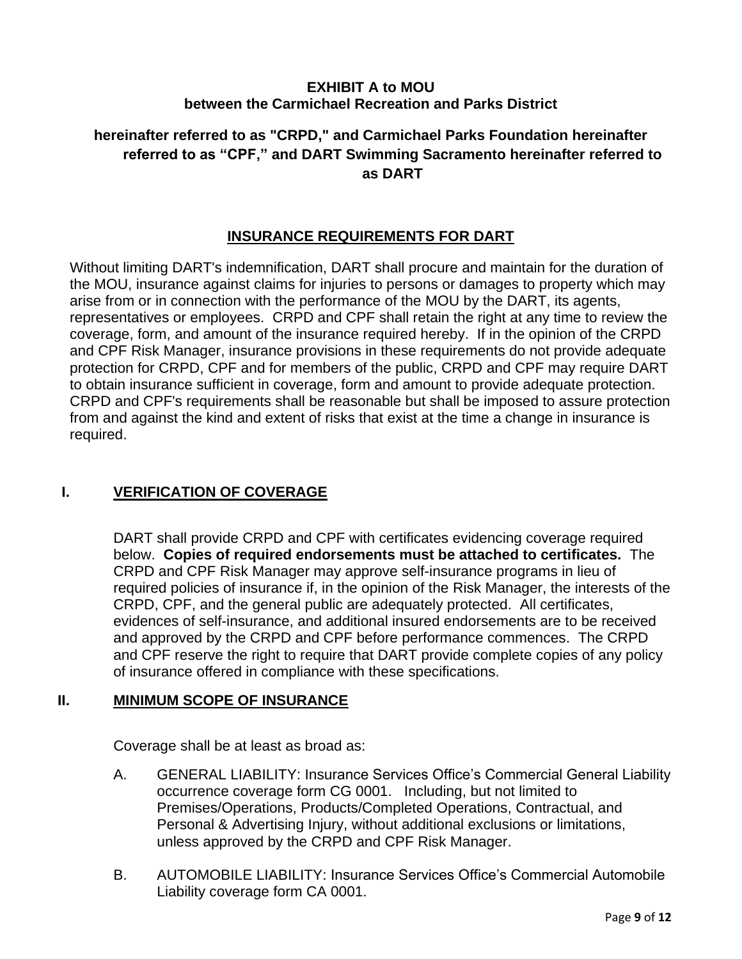## **EXHIBIT A to MOU between the Carmichael Recreation and Parks District**

# **hereinafter referred to as "CRPD," and Carmichael Parks Foundation hereinafter referred to as "CPF," and DART Swimming Sacramento hereinafter referred to as DART**

## **INSURANCE REQUIREMENTS FOR DART**

Without limiting DART's indemnification, DART shall procure and maintain for the duration of the MOU, insurance against claims for injuries to persons or damages to property which may arise from or in connection with the performance of the MOU by the DART, its agents, representatives or employees. CRPD and CPF shall retain the right at any time to review the coverage, form, and amount of the insurance required hereby. If in the opinion of the CRPD and CPF Risk Manager, insurance provisions in these requirements do not provide adequate protection for CRPD, CPF and for members of the public, CRPD and CPF may require DART to obtain insurance sufficient in coverage, form and amount to provide adequate protection. CRPD and CPF's requirements shall be reasonable but shall be imposed to assure protection from and against the kind and extent of risks that exist at the time a change in insurance is required.

# **I. VERIFICATION OF COVERAGE**

DART shall provide CRPD and CPF with certificates evidencing coverage required below. **Copies of required endorsements must be attached to certificates.** The CRPD and CPF Risk Manager may approve self-insurance programs in lieu of required policies of insurance if, in the opinion of the Risk Manager, the interests of the CRPD, CPF, and the general public are adequately protected. All certificates, evidences of self-insurance, and additional insured endorsements are to be received and approved by the CRPD and CPF before performance commences. The CRPD and CPF reserve the right to require that DART provide complete copies of any policy of insurance offered in compliance with these specifications.

### **II. MINIMUM SCOPE OF INSURANCE**

Coverage shall be at least as broad as:

- A. GENERAL LIABILITY: Insurance Services Office's Commercial General Liability occurrence coverage form CG 0001. Including, but not limited to Premises/Operations, Products/Completed Operations, Contractual, and Personal & Advertising Injury, without additional exclusions or limitations, unless approved by the CRPD and CPF Risk Manager.
- B. AUTOMOBILE LIABILITY: Insurance Services Office's Commercial Automobile Liability coverage form CA 0001.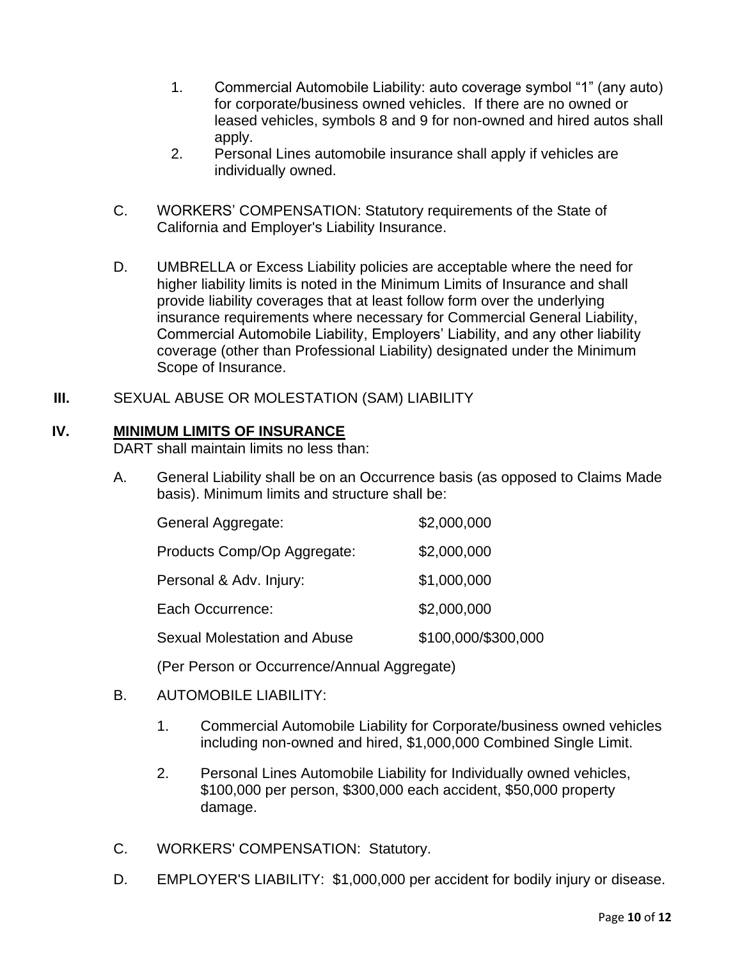- 1. Commercial Automobile Liability: auto coverage symbol "1" (any auto) for corporate/business owned vehicles. If there are no owned or leased vehicles, symbols 8 and 9 for non-owned and hired autos shall apply.
- 2. Personal Lines automobile insurance shall apply if vehicles are individually owned.
- C. WORKERS' COMPENSATION: Statutory requirements of the State of California and Employer's Liability Insurance.
- D. UMBRELLA or Excess Liability policies are acceptable where the need for higher liability limits is noted in the Minimum Limits of Insurance and shall provide liability coverages that at least follow form over the underlying insurance requirements where necessary for Commercial General Liability, Commercial Automobile Liability, Employers' Liability, and any other liability coverage (other than Professional Liability) designated under the Minimum Scope of Insurance.
- **III.** SEXUAL ABUSE OR MOLESTATION (SAM) LIABILITY

#### **IV. MINIMUM LIMITS OF INSURANCE**

DART shall maintain limits no less than:

A. General Liability shall be on an Occurrence basis (as opposed to Claims Made basis). Minimum limits and structure shall be:

| General Aggregate:                  | \$2,000,000         |
|-------------------------------------|---------------------|
| Products Comp/Op Aggregate:         | \$2,000,000         |
| Personal & Adv. Injury:             | \$1,000,000         |
| Each Occurrence:                    | \$2,000,000         |
| <b>Sexual Molestation and Abuse</b> | \$100,000/\$300,000 |

(Per Person or Occurrence/Annual Aggregate)

### B. AUTOMOBILE LIABILITY:

- 1. Commercial Automobile Liability for Corporate/business owned vehicles including non-owned and hired, \$1,000,000 Combined Single Limit.
- 2. Personal Lines Automobile Liability for Individually owned vehicles, \$100,000 per person, \$300,000 each accident, \$50,000 property damage.
- C. WORKERS' COMPENSATION: Statutory.
- D. EMPLOYER'S LIABILITY: \$1,000,000 per accident for bodily injury or disease.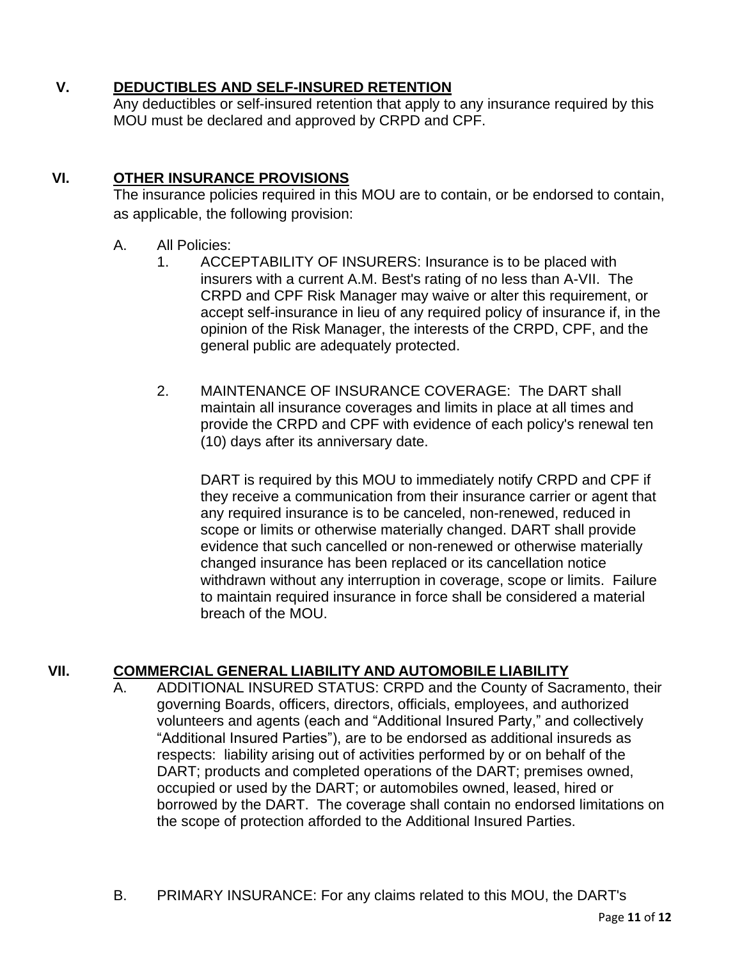# **V. DEDUCTIBLES AND SELF-INSURED RETENTION**

Any deductibles or self-insured retention that apply to any insurance required by this MOU must be declared and approved by CRPD and CPF.

# **VI. OTHER INSURANCE PROVISIONS**

The insurance policies required in this MOU are to contain, or be endorsed to contain, as applicable, the following provision:

## A. All Policies:

- 1. ACCEPTABILITY OF INSURERS: Insurance is to be placed with insurers with a current A.M. Best's rating of no less than A-VII. The CRPD and CPF Risk Manager may waive or alter this requirement, or accept self-insurance in lieu of any required policy of insurance if, in the opinion of the Risk Manager, the interests of the CRPD, CPF, and the general public are adequately protected.
- 2. MAINTENANCE OF INSURANCE COVERAGE: The DART shall maintain all insurance coverages and limits in place at all times and provide the CRPD and CPF with evidence of each policy's renewal ten (10) days after its anniversary date.

DART is required by this MOU to immediately notify CRPD and CPF if they receive a communication from their insurance carrier or agent that any required insurance is to be canceled, non-renewed, reduced in scope or limits or otherwise materially changed. DART shall provide evidence that such cancelled or non-renewed or otherwise materially changed insurance has been replaced or its cancellation notice withdrawn without any interruption in coverage, scope or limits. Failure to maintain required insurance in force shall be considered a material breach of the MOU.

# **VII. COMMERCIAL GENERAL LIABILITY AND AUTOMOBILE LIABILITY**

- ADDITIONAL INSURED STATUS: CRPD and the County of Sacramento, their governing Boards, officers, directors, officials, employees, and authorized volunteers and agents (each and "Additional Insured Party," and collectively "Additional Insured Parties"), are to be endorsed as additional insureds as respects: liability arising out of activities performed by or on behalf of the DART; products and completed operations of the DART; premises owned, occupied or used by the DART; or automobiles owned, leased, hired or borrowed by the DART. The coverage shall contain no endorsed limitations on the scope of protection afforded to the Additional Insured Parties.
- B. PRIMARY INSURANCE: For any claims related to this MOU, the DART's